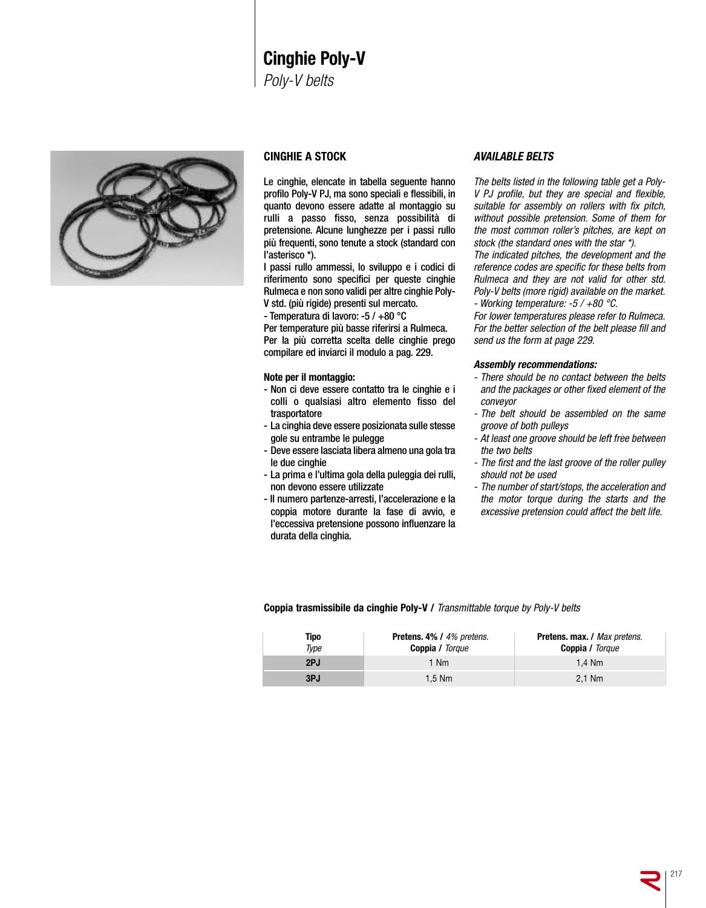# **Cinghie Poly-V** *Poly-V belts*



## **CINGHIE A STOCK**

Le cinghie, elencate in tabella seguente hanno profilo Poly-V PJ, ma sono speciali e flessibili, in quanto devono essere adatte al montaggio su rulli a passo fisso, senza possibilità di pretensione. Alcune lunghezze per i passi rullo più frequenti, sono tenute a stock (standard con l'asterisco \*).

I passi rullo ammessi, lo sviluppo e i codici di riferimento sono specifici per queste cinghie Rulmeca e non sono validi per altre cinghie Poly-V std. (più rigide) presenti sul mercato.

- Temperatura di lavoro: -5 / +80 °C

Per temperature più basse riferirsi a Rulmeca. Per la più corretta scelta delle cinghie prego compilare ed inviarci il modulo a pag. 229.

#### **Note per il montaggio:**

- Non ci deve essere contatto tra le cinghie e i colli o qualsiasi altro elemento fisso del trasportatore
- La cinghia deve essere posizionata sulle stesse gole su entrambe le pulegge
- Deve essere lasciata libera almeno una gola tra le due cinghie
- La prima e l'ultima gola della puleggia dei rulli, non devono essere utilizzate
- Il numero partenze-arresti, l'accelerazione e la coppia motore durante la fase di avvio, e l'eccessiva pretensione possono influenzare la durata della cinghia.

### *AVAILABLE BELTS*

*The belts listed in the following table get a Poly-V PJ profile, but they are special and flexible, suitable for assembly on rollers with fix pitch, without possible pretension. Some of them for the most common roller's pitches, are kept on stock (the standard ones with the star \*).*

*The indicated pitches, the development and the reference codes are specific for these belts from Rulmeca and they are not valid for other std. Poly-V belts (more rigid) available on the market. - Working temperature: -5 / +80 °C.*

*For lower temperatures please refer to Rulmeca. For the better selection of the belt please fill and send us the form at page 229.*

#### *Assembly recommendations:*

- *- There should be no contact between the belts and the packages or other fixed element of the conveyor*
- *- The belt should be assembled on the same groove of both pulleys*
- *- At least one groove should be left free between the two belts*
- *- The first and the last groove of the roller pulley should not be used*
- *- The number of start/stops, the acceleration and the motor torque during the starts and the excessive pretension could affect the belt life.*

**Coppia trasmissibile da cinghie Poly-V /** *Transmittable torque by Poly-V belts*

| Tipo<br>Type | <b>Pretens. 4% / 4% pretens.</b><br><b>Coppia / Torque</b> | <b>Pretens. max. / Max pretens.</b><br><b>Coppia / Torque</b> |
|--------------|------------------------------------------------------------|---------------------------------------------------------------|
| 2PJ          | 1 Nm                                                       | 1.4 Nm                                                        |
| 3PJ          | $1.5$ Nm                                                   | $2.1$ Nm                                                      |